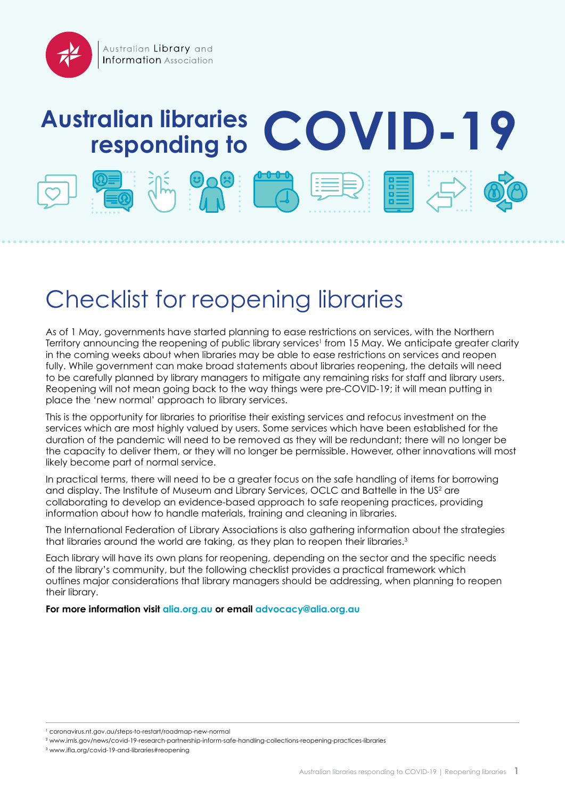# **Australian libraries responding to COVID-19**







# Checklist for reopening libraries

As of 1 May, governments have started planning to ease restrictions on services, with the Northern Territory announcing the reopening of public library services<sup>1</sup> from 15 May. We anticipate greater clarity in the coming weeks about when libraries may be able to ease restrictions on services and reopen fully. While government can make broad statements about libraries reopening, the details will need to be carefully planned by library managers to mitigate any remaining risks for staff and library users. Reopening will not mean going back to the way things were pre-COVID-19; it will mean putting in place the 'new normal' approach to library services.

This is the opportunity for libraries to prioritise their existing services and refocus investment on the services which are most highly valued by users. Some services which have been established for the duration of the pandemic will need to be removed as they will be redundant; there will no longer be the capacity to deliver them, or they will no longer be permissible. However, other innovations will most likely become part of normal service.

In practical terms, there will need to be a greater focus on the safe handling of items for borrowing and display. The Institute of Museum and Library Services, OCLC and Battelle in the US<sup>2</sup> are collaborating to develop an evidence-based approach to safe reopening practices, providing information about how to handle materials, training and cleaning in libraries.

The International Federation of Library Associations is also gathering information about the strategies that libraries around the world are taking, as they plan to reopen their libraries.<sup>3</sup>

Each library will have its own plans for reopening, depending on the sector and the specific needs of the library's community, but the following checklist provides a practical framework which outlines major considerations that library managers should be addressing, when planning to reopen their library.

**For more information visit [alia.org.au](http://www.alia.org.au) or email [advocacy@alia.org.au](mailto:advocacy%40alia.org.au?subject=)**

<sup>1</sup>  [coronavirus.nt.gov.au/steps-to-restart/roadmap-new-normal](https://coronavirus.nt.gov.au/steps-to-restart/roadmap-new-normal)

<sup>2</sup>  [www.imls.gov/news/covid-19-research-partnership-inform-safe-handling-collections-reopening-practices-libraries](http://www.imls.gov/news/covid-19-research-partnership-inform-safe-handling-collections-reopening-practices-libraries)

<sup>3</sup>  [www.ifla.org/covid-19-and-libraries#reopening](https://www.ifla.org/covid-19-and-libraries#reopening)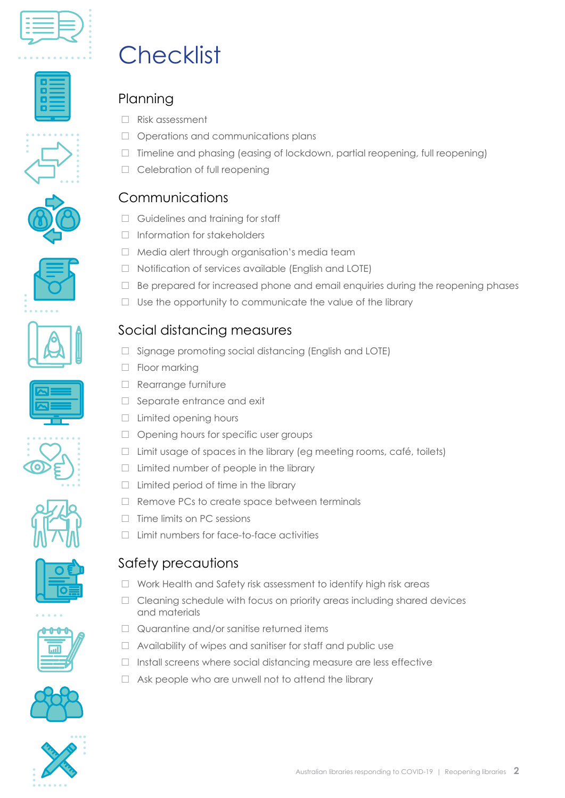

















#### Safety precautions

- $\Box$  Work Health and Safety risk assessment to identify high risk areas
- Cleaning schedule with focus on priority areas including shared devices and materials
- $\Box$  Quarantine and/or sanitise returned items
- $\Box$  Availability of wipes and sanitiser for staff and public use
- $\Box$  Install screens where social distancing measure are less effective
- $\Box$  Ask people who are unwell not to attend the library





# **Checklist**

# Planning

- □ Risk assessment
- Operations and communications plans
- $\Box$  Timeline and phasing (easing of lockdown, partial reopening, full reopening)
- $\Box$  Celebration of full reopening

### Communications

- Guidelines and training for staff
- $\Box$  Information for stakeholders
- □ Media alert through organisation's media team
- $\Box$  Notification of services available (English and LOTE)
- $\Box$  Be prepared for increased phone and email enquiries during the reopening phases
- $\Box$  Use the opportunity to communicate the value of the library

#### Social distancing measures

- $\Box$  Signage promoting social distancing (English and LOTE)
- □ Floor marking
- Rearrange furniture
- $\Box$  Separate entrance and exit
- $\Box$  Limited opening hours
- $\Box$  Opening hours for specific user groups
- $\Box$  Limit usage of spaces in the library (eg meeting rooms, café, toilets)
- $\Box$  Limited number of people in the library
- $\Box$  Limited period of time in the library
- $\Box$  Remove PCs to create space between terminals
- $\Box$  Time limits on PC sessions
- $\Box$  Limit numbers for face-to-face activities







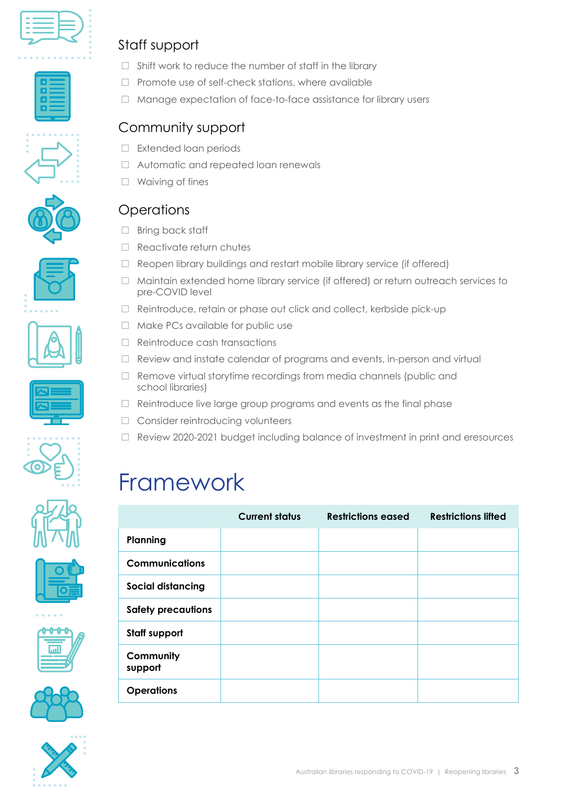

### Staff support

- $\Box$  Shift work to reduce the number of staff in the library
- $\Box$  Promote use of self-check stations, where available
- □ Manage expectation of face-to-face assistance for library users

### Community support

- $\Box$  Extended loan periods
- □ Automatic and repeated loan renewals
- □ Waiving of fines

#### **Operations**

- $\Box$  Bring back staff
- $\Box$  Reactivate return chutes
- $\Box$  Reopen library buildings and restart mobile library service (if offered)
- $\Box$  Maintain extended home library service (if offered) or return outreach services to pre-COVID level
- □ Reintroduce, retain or phase out click and collect, kerbside pick-up
- $\Box$  Make PCs available for public use
- $\Box$  Reintroduce cash transactions
- $\Box$  Review and instate calendar of programs and events, in-person and virtual
- $\Box$  Remove virtual storytime recordings from media channels (public and school libraries)
- $\Box$  Reintroduce live large group programs and events as the final phase
- □ Consider reintroducing volunteers
- $\Box$  Review 2020-2021 budget including balance of investment in print and eresources

# Framework

|                           | <b>Current status</b> | <b>Restrictions eased</b> | <b>Restrictions lifted</b> |
|---------------------------|-----------------------|---------------------------|----------------------------|
| Planning                  |                       |                           |                            |
| <b>Communications</b>     |                       |                           |                            |
| Social distancing         |                       |                           |                            |
| <b>Safety precautions</b> |                       |                           |                            |
| <b>Staff support</b>      |                       |                           |                            |
| Community<br>support      |                       |                           |                            |
| <b>Operations</b>         |                       |                           |                            |